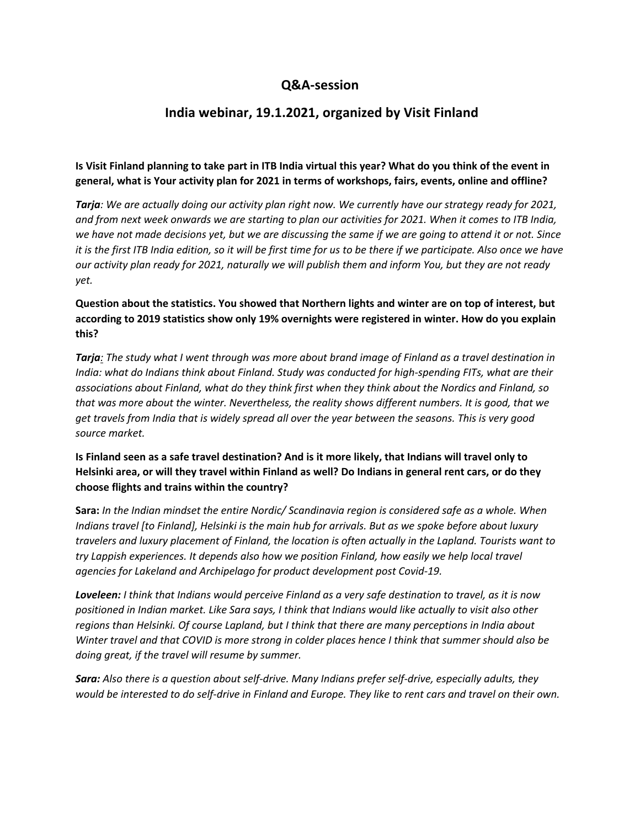## **Q&A-session**

# **India webinar, 19.1.2021, organized by Visit Finland**

### **Is Visit Finland planning to take part in ITB India virtual this year? What do you think of the event in general, what is Your activity plan for 2021 in terms of workshops, fairs, events, online and offline?**

*Tarja: We are actually doing our activity plan right now. We currently have our strategy ready for 2021, and from next week onwards we are starting to plan our activities for 2021. When it comes to ITB India, we have not made decisions yet, but we are discussing the same if we are going to attend it or not. Since it is the first ITB India edition, so it will be first time for us to be there if we participate. Also once we have our activity plan ready for 2021, naturally we will publish them and inform You, but they are not ready yet.*

## **Question about the statistics. You showed that Northern lights and winter are on top of interest, but according to 2019 statistics show only 19% overnights were registered in winter. How do you explain this?**

*Tarja: The study what I went through was more about brand image of Finland as a travel destination in India: what do Indians think about Finland. Study was conducted for high-spending FITs, what are their associations about Finland, what do they think first when they think about the Nordics and Finland, so that was more about the winter. Nevertheless, the reality shows different numbers. It is good, that we get travels from India that is widely spread all over the year between the seasons. This is very good source market.*

### **Is Finland seen as a safe travel destination? And is it more likely, that Indians will travel only to Helsinki area, or will they travel within Finland as well? Do Indians in general rent cars, or do they choose flights and trains within the country?**

**Sara:** *In the Indian mindset the entire Nordic/ Scandinavia region is considered safe as a whole. When Indians travel [to Finland], Helsinki is the main hub for arrivals. But as we spoke before about luxury travelers and luxury placement of Finland, the location is often actually in the Lapland. Tourists want to try Lappish experiences. It depends also how we position Finland, how easily we help local travel agencies for Lakeland and Archipelago for product development post Covid-19.* 

*Loveleen: I think that Indians would perceive Finland as a very safe destination to travel, as it is now positioned in Indian market. Like Sara says, I think that Indians would like actually to visit also other regions than Helsinki. Of course Lapland, but I think that there are many perceptions in India about Winter travel and that COVID is more strong in colder places hence I think that summer should also be doing great, if the travel will resume by summer.* 

*Sara: Also there is a question about self-drive. Many Indians prefer self-drive, especially adults, they would be interested to do self-drive in Finland and Europe. They like to rent cars and travel on their own.*